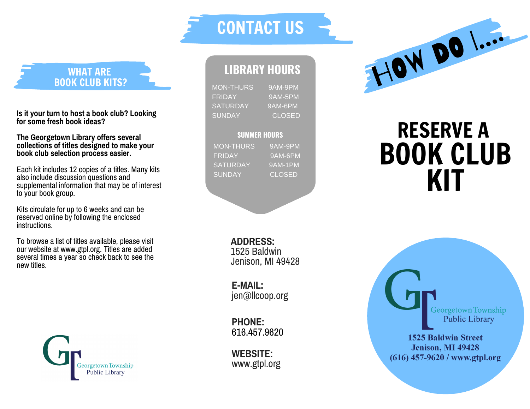WHAT ARE BOOK CLUB KITS?

Is it your turn to host a book club? Looking for some fresh book ideas?

The Georgetown Library offers several collections of titles designed to make your book club selection process easier.

Each kit includes 12 copies of a titles. Many kits also include discussion questions and supplemental information that may be of interest to your book group.

Kits circulate for up to 6 weeks and can be reserved online by following the enclosed<br>instructions.

To browse a list of titles available, please visit our website at www.gtpl.org. Titles are added several times a year so check back to see the n e w title s .



## LIBRARY HOURS

CONTACT US

MON-THURS 9 A M -9 P M F RID A Y 9 A M -5 P M SATURDAY 9 A M -6 P M SUNDAY C L O S E D

## **SUMMER HOURS**

MON-THURS **FRIDAY** SATURDAY **SUNDAY** 

9AM-9PM 9 A M -6 P M 9 A M -1 P M C L O S E D

**ADDRES** 1525 Baldwin 9 4 2 8

**E - M AIL:** jen@llco o p.o r g

**P H O N E:** 616.457.9 6 2 0

**W E B SIT WEBSITE:**<br>www.gtpl.org



## RESERVE

Georgetown Township **Public Library** 

**1525 Baldwin Street Jenison, MI 49428** (616) 457-9620 / www.gtpl.org